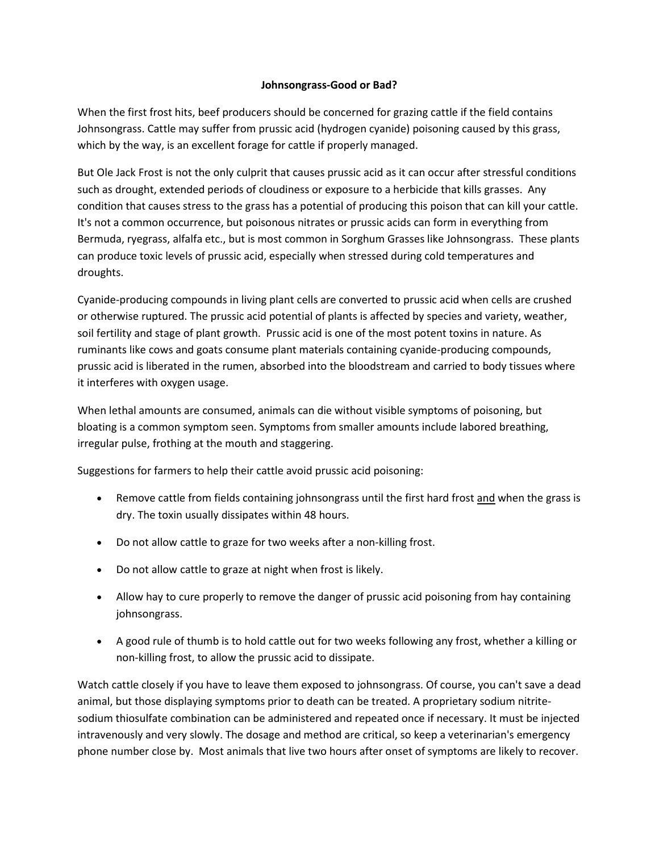## **Johnsongrass-Good or Bad?**

When the first frost hits, beef producers should be concerned for grazing cattle if the field contains Johnsongrass. Cattle may suffer from prussic acid (hydrogen cyanide) poisoning caused by this grass, which by the way, is an excellent forage for cattle if properly managed.

But Ole Jack Frost is not the only culprit that causes prussic acid as it can occur after stressful conditions such as drought, extended periods of cloudiness or exposure to a herbicide that kills grasses. Any condition that causes stress to the grass has a potential of producing this poison that can kill your cattle. It's not a common occurrence, but poisonous nitrates or prussic acids can form in everything from Bermuda, ryegrass, alfalfa etc., but is most common in Sorghum Grasses like Johnsongrass. These plants can produce toxic levels of prussic acid, especially when stressed during cold temperatures and droughts.

Cyanide-producing compounds in living plant cells are converted to prussic acid when cells are crushed or otherwise ruptured. The prussic acid potential of plants is affected by species and variety, weather, soil fertility and stage of plant growth. Prussic acid is one of the most potent toxins in nature. As ruminants like cows and goats consume plant materials containing cyanide-producing compounds, prussic acid is liberated in the rumen, absorbed into the bloodstream and carried to body tissues where it interferes with oxygen usage.

When lethal amounts are consumed, animals can die without visible symptoms of poisoning, but bloating is a common symptom seen. Symptoms from smaller amounts include labored breathing, irregular pulse, frothing at the mouth and staggering.

Suggestions for farmers to help their cattle avoid prussic acid poisoning:

- Remove cattle from fields containing johnsongrass until the first hard frost and when the grass is dry. The toxin usually dissipates within 48 hours.
- Do not allow cattle to graze for two weeks after a non-killing frost.
- Do not allow cattle to graze at night when frost is likely.
- Allow hay to cure properly to remove the danger of prussic acid poisoning from hay containing johnsongrass.
- A good rule of thumb is to hold cattle out for two weeks following any frost, whether a killing or non-killing frost, to allow the prussic acid to dissipate.

Watch cattle closely if you have to leave them exposed to johnsongrass. Of course, you can't save a dead animal, but those displaying symptoms prior to death can be treated. A proprietary sodium nitritesodium thiosulfate combination can be administered and repeated once if necessary. It must be injected intravenously and very slowly. The dosage and method are critical, so keep a veterinarian's emergency phone number close by. Most animals that live two hours after onset of symptoms are likely to recover.